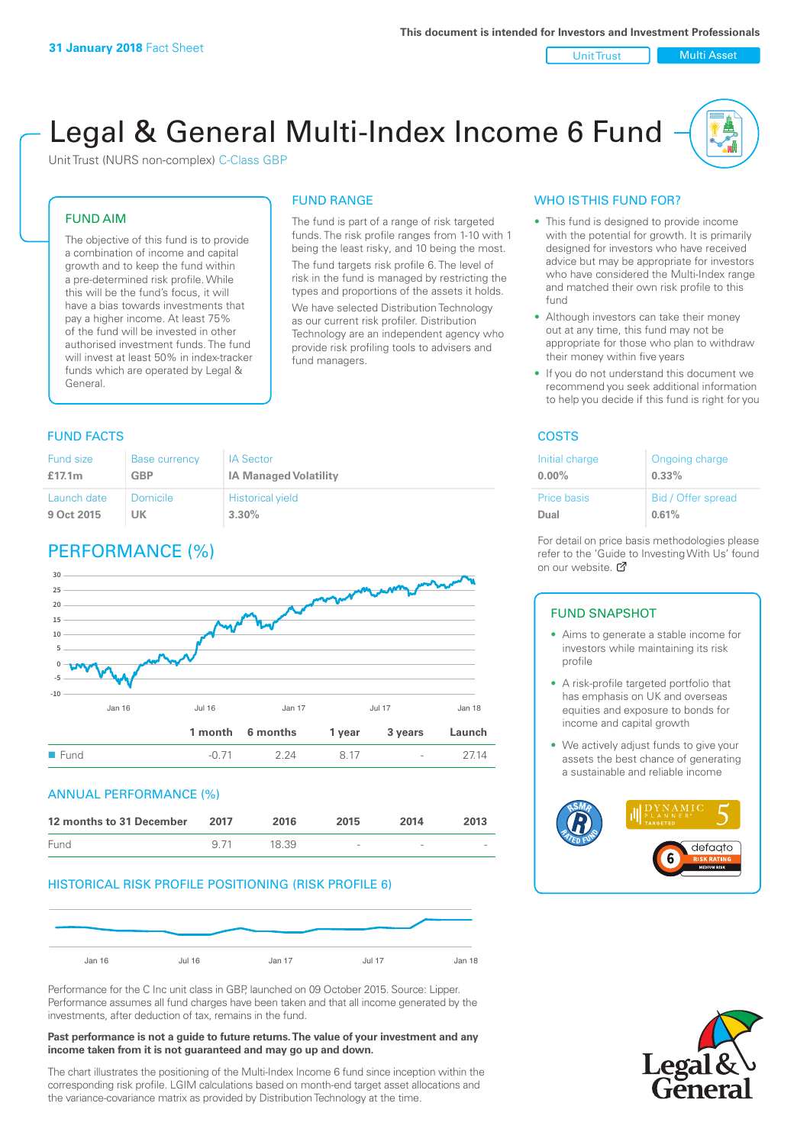Unit Trust | Multi Asset

# Legal & General Multi-Index Income 6 Fund

Unit Trust (NURS non-complex) C-Class GBP

#### FUND AIM

The objective of this fund is to provide a combination of income and capital growth and to keep the fund within a pre-determined risk profile. While this will be the fund's focus, it will have a bias towards investments that pay a higher income. At least 75% of the fund will be invested in other authorised investment funds. The fund will invest at least 50% in index-tracker funds which are operated by Legal & General.

#### FUND RANGE

The fund is part of a range of risk targeted funds. The risk profile ranges from 1-10 with 1 being the least risky, and 10 being the most. The fund targets risk profile 6. The level of risk in the fund is managed by restricting the

types and proportions of the assets it holds. We have selected Distribution Technology as our current risk profiler. Distribution Technology are an independent agency who provide risk profiling tools to advisers and fund managers.

### **FUND FACTS** COSTS

| Fund size   | <b>Base currency</b> | <b>IA Sector</b>             |
|-------------|----------------------|------------------------------|
| £17.1m      | <b>GBP</b>           | <b>IA Managed Volatility</b> |
| Launch date | Domicile             | <b>Historical yield</b>      |
| 9 Oct 2015  | UK                   | $3.30\%$                     |

# PERFORMANCE (%)



#### ANNUAL PERFORMANCE (%)

| 12 months to 31 December | 2017  | 2016  | 2015   | 2014   | 2013 |
|--------------------------|-------|-------|--------|--------|------|
| Fund                     | 9 7 1 | 18.39 | $\sim$ | $\sim$ |      |

### HISTORICAL RISK PROFILE POSITIONING (RISK PROFILE 6)



Performance for the C Inc unit class in GBP, launched on 09 October 2015. Source: Lipper. Performance assumes all fund charges have been taken and that all income generated by the investments, after deduction of tax, remains in the fund.

#### **Past performance is not a guide to future returns. The value of your investment and any income taken from it is not guaranteed and may go up and down.**

The chart illustrates the positioning of the Multi-Index Income 6 fund since inception within the corresponding risk profile. LGIM calculations based on month-end target asset allocations and the variance-covariance matrix as provided by Distribution Technology at the time.

#### WHO IS THIS FUND FOR?

- This fund is designed to provide income with the potential for growth. It is primarily designed for investors who have received advice but may be appropriate for investors who have considered the Multi-Index range and matched their own risk profile to this fund
- Although investors can take their money out at any time, this fund may not be appropriate for those who plan to withdraw their money within five years
- If you do not understand this document we recommend you seek additional information to help you decide if this fund is right for you

| Initial charge     | Ongoing charge     |
|--------------------|--------------------|
| $0.00\%$           | $0.33\%$           |
| <b>Price basis</b> | Bid / Offer spread |
| Dual               | 0.61%              |

For detail on price basis methodologies please refer to the 'Gu[ide t](http://www.legalandgeneral.com/guide)o Investing With Us' found on our website. Ø

#### FUND SNAPSHOT

- Aims to generate a stable income for investors while maintaining its risk profile
- A risk-profile targeted portfolio that has emphasis on UK and overseas equities and exposure to bonds for income and capital growth
- We actively adjust funds to give your assets the best chance of generating a sustainable and reliable income



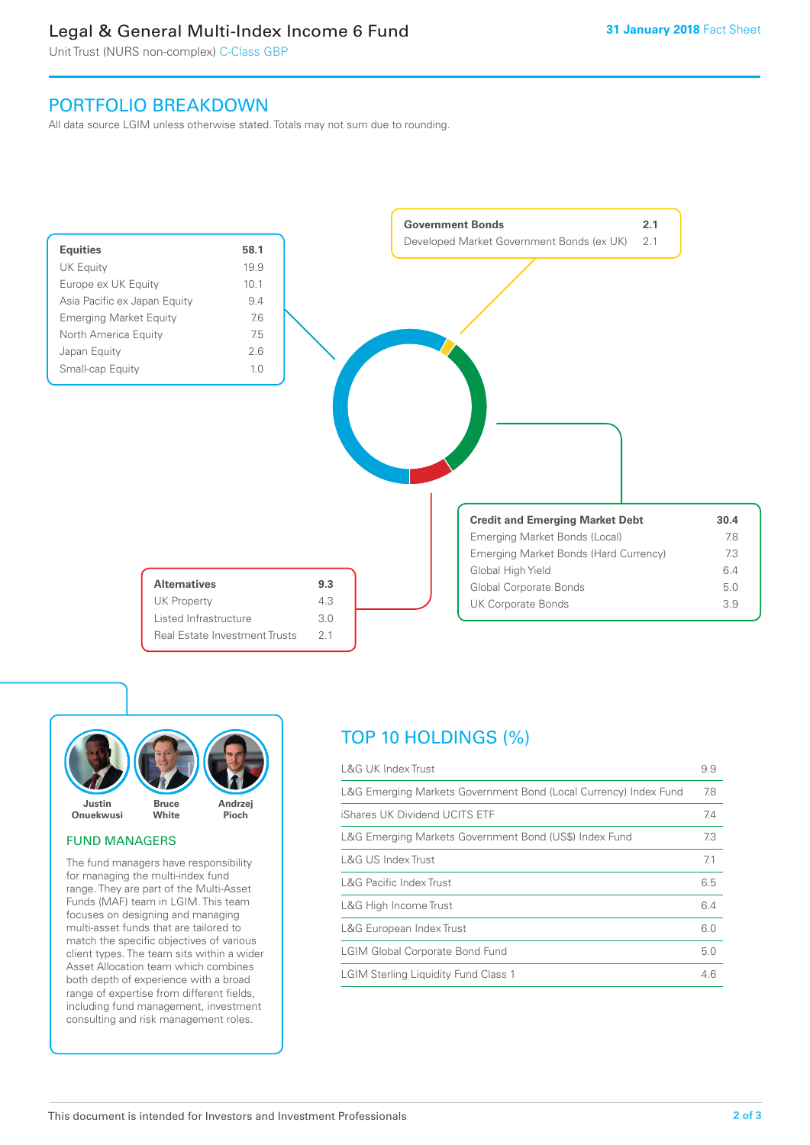# Legal & General Multi-Index Income 6 Fund

Unit Trust (NURS non-complex) C-Class GBP

## PORTFOLIO BREAKDOWN

All data source LGIM unless otherwise stated. Totals may not sum due to rounding.





#### FUND MANAGERS

The fund managers have responsibility for managing the multi-index fund range. They are part of the Multi-Asset Funds (MAF) team in LGIM. This team focuses on designing and managing multi-asset funds that are tailored to match the specific objectives of various client types. The team sits within a wider Asset Allocation team which combines both depth of experience with a broad range of expertise from different fields, including fund management, investment consulting and risk management roles.

# TOP 10 HOLDINGS (%)

| <b>L&amp;G UK Index Trust</b>                                    | 9.9 |
|------------------------------------------------------------------|-----|
| L&G Emerging Markets Government Bond (Local Currency) Index Fund | 7.8 |
| iShares UK Dividend UCITS ETF                                    | 7.4 |
| L&G Emerging Markets Government Bond (US\$) Index Fund           | 7.3 |
| <b>L&amp;G US Index Trust</b>                                    | 7.1 |
| <b>L&amp;G Pacific Index Trust</b>                               | 6.5 |
| L&G High Income Trust                                            | 6.4 |
| L&G European Index Trust                                         | 6.0 |
| <b>LGIM Global Corporate Bond Fund</b>                           | 5.0 |
| <b>LGIM Sterling Liquidity Fund Class 1</b>                      | 4.6 |